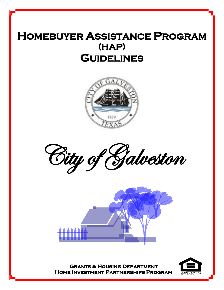# **HOMEBUYER ASSISTANCE PROGRAM (HAP) GUIDELINES**







**Grants & Housing Department Home Investment Partnerships Program** 

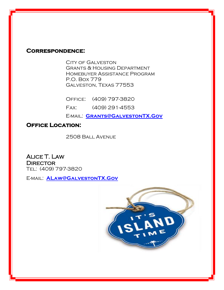#### **Correspondence:**

City of Galveston Grants & Housing Department Homebuyer Assistance Program P.O. Box 779 Galveston, Texas 77553

Office: (409) 797-3820

Fax: (409) 291-4553

E-mail: **[Grants@GalvestonTX.Gov](mailto:ALaw@GalvestonTX.Gov)**

### **OFFICE LOCATION:**

2508 Ball Avenue

Alice T. Law **DIRECTOR** Tel: (409) 797-3820

E-mail: **[ALaw@GalvestonTX.Gov](mailto:ALaw@GalvestonTX.Gov)**

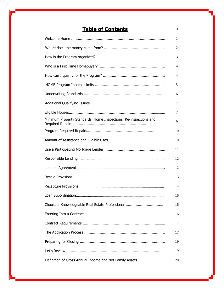### **Table of Contents** Pg.

|                                                                  | 1  |
|------------------------------------------------------------------|----|
|                                                                  | 2  |
|                                                                  | 3  |
|                                                                  | 4  |
|                                                                  | 4  |
|                                                                  | 5  |
|                                                                  | 6  |
|                                                                  | 7  |
|                                                                  | 7  |
| Minimum Property Standards, Home Inspections, Re-inspections and | 9  |
|                                                                  | 10 |
|                                                                  | 10 |
|                                                                  | 11 |
|                                                                  | 12 |
|                                                                  | 12 |
|                                                                  | 13 |
|                                                                  | 14 |
|                                                                  | 16 |
| Choose a Knowledgeable Real Estate Professional                  | 16 |
|                                                                  | 16 |
|                                                                  | 17 |
|                                                                  | 17 |
|                                                                  | 19 |
|                                                                  | 19 |
| Definition of Gross Annual Income and Net Family Assets          | 20 |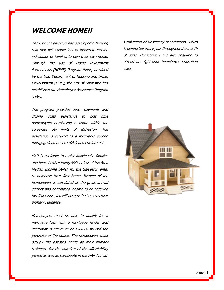### **WELCOME HOME!!**

The City of Galveston has developed a housing tool that will enable low to moderate-income individuals or families to own their own home. Through the use of Home Investment Partnerships (HOME) Program funds, provided by the U.S. Department of Housing and Urban Development (HUD), the City of Galveston has established the Homebuyer Assistance Program (HAP).

The program provides down payments and closing costs assistance to first time homebuyers purchasing a home within the corporate city limits of Galveston. The assistance is secured as a forgivable second mortgage loan at zero (0%) percent interest.

HAP is available to assist individuals, families and households earning 80% or less of the Area Median Income (AMI), for the Galveston area, to purchase their first home. Income of the homebuyers is calculated as the gross annual current and anticipated income to be received by all persons who will occupy the home as their primary residence.

Homebuyers must be able to qualify for a mortgage loan with a mortgage lender and contribute a minimum of \$500.00 toward the purchase of the house. The homebuyers must occupy the assisted home as their primary residence for the duration of the affordability period as well as participate in the HAP Annual

Verification of Residency confirmation, which is conducted every year throughout the month of June. Homebuyers are also required to attend an eight-hour homebuyer education class.

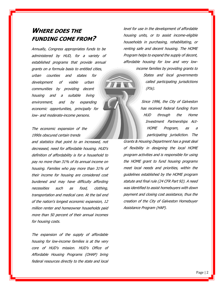### **WHERE DOES THE FUNDING COME FROM?**

Annually, Congress appropriates funds to be administered by HUD, for a variety of established programs that provide annual grants on a formula basis to entitled cities, urban counties and states for development of viable urban communities by providing decent housing and a suitable living environment, and by expanding economic opportunities, principally for low- and moderate-income persons.

#### The economic expansion of the 1990s obscured certain trends

and statistics that point to an increased, not decreased, need for affordable housing. HUD's definition of affordability is for a household to pay no more than 31% of its annual income on housing. Families who pay more than 31% of their income for housing are considered cost burdened and may have difficulty affording necessities such as food, clothing, transportation and medical care. At the tail end of the nation's longest economic expansion, 12 million renter and homeowner households paid more than 50 percent of their annual incomes for housing costs.

The expansion of the supply of affordable housing for low-income families is at the very core of HUD's mission. HUD's Office of Affordable Housing Programs (OHAP) bring federal resources directly to the state and local

level for use in the development of affordable housing units, or to assist income-eligible households in purchasing, rehabilitating, or renting safe and decent housing. The HOME Program helps to expand the supply of decent, affordable housing for low and very low-

> income families by providing grants to States and local governments called participating jurisdictions (PJs).

Since 1996, the City of Galveston has received federal funding from HUD through the Home Investment Partnerships Act-HOME Program, as a participating jurisdiction. The

Grants & Housing Department has a great deal of flexibility in designing the local HOME program activities and is responsible for using the HOME grant to fund housing programs meet local needs and priorities, within the guidelines established by the HOME program statute and final rule (24 CFR Part 92). A need was identified to assist homebuyers with down payment and closing cost assistance, thus the creation of the City of Galveston Homebuyer Assistance Program (HAP).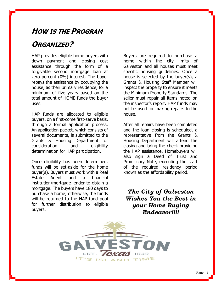### **HOW IS THE PROGRAM**

### **ORGANIZED?**

HAP provides eligible home buyers with down payment and closing cost assistance through the form of a forgivable second mortgage loan at zero percent (0%) interest. The buyer repays the assistance by occupying the house, as their primary residence, for a minimum of five years based on the total amount of HOME funds the buyer uses.

HAP funds are allocated to eligible buyers, on a first-come first-serve basis, through a formal application process. An application packet, which consists of several documents, is submitted to the Grants & Housing Department for consideration and eligibility determination for HAP participation.

Once eligibility has been determined, funds will be set-aside for the home buyer(s). Buyers must work with a Real Estate Agent and a financial institution/mortgage lender to obtain a mortgage. The buyers have 180 days to purchase a home; otherwise, the funds will be returned to the HAP fund pool for further distribution to eligible buyers.

Buyers are required to purchase a home within the city limits of Galveston and all houses must meet specific housing guidelines. Once a house is selected by the buyer(s), a Grants & Housing Staff Member will inspect the property to ensure it meets the Minimum Property Standards. The seller must repair all items noted on the inspector's report. HAP funds may not be used for making repairs to the house.

After all repairs have been completed and the loan closing is scheduled, a representative from the Grants & Housing Department will attend the closing and bring the check providing the HAP assistance. Homebuyers will also sign a Deed of Trust and Promissory Note, executing the start of the required residency period known as the affordability period.

*The City of Galveston Wishes You the Best in your Home Buying Endeavor!!!!*

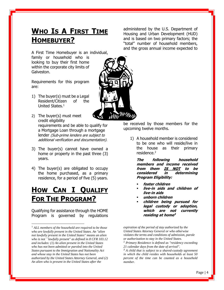### **WHO IS A FIRST TIME HOMEBUYER?**

administered by the U.S. Department of Housing and Urban Development (HUD) and is based on two primary factors; the "total" number of household members, and the gross annual income expected to

A First Time Homebuyer is an individual, family or household who is looking to buy their first home within the corporate city limits of Galveston.

Requirements for this program are:

- 1) The buyer(s) must be a Legal Resident/Citizen of the United States.<sup>1</sup>
- 2) The buyer(s) must meet credit eligibility requirements and be able to qualify for a Mortgage Loan through a mortgage lender (Sub-prime lenders are subject to additional verification and documentation).
- 3) The buyer(s) cannot have owned a home or property in the past three (3) years.
- 4) The buyer(s) are obligated to occupy the home purchased, as a primary residence, for a period of five (5) years.

## **HOW CAN I QUALIFY FOR THE PROGRAM?**

Qualifying for assistance through the HOME Program is governed by regulations

l



be received by those members for the upcoming twelve months.

1) A household member is considered to be one who will reside/live in the house as their primary residence.<sup>2</sup>

**The following household members and income received from them IS NOT to be considered in determining Program Eligibility:**

- **foster children**
- live-in aids and children of **live-in aids**
- **unborn children**
- children being pursued for **legal custody or adoption, which are not currently residing at home 3**

*expiration of the period of stay authorized by the United States Attorney General or who otherwise violates the terms and conditions of admission, parole or authorization to stay in the United States.*

*<sup>3</sup> A child that is subject to a shared-custody agreement in which the child resides with households at least 50 percent of the time can be counted as a household member.*

<sup>1</sup> *ALL members of the household are required to be those who are lawfully present in the United States. An "alien not lawfully present in the United States'' means an alien who is not ``lawfully present'' as defined in 8 CFR 103.12 and includes: (1) An alien present in the United States who has not been admitted or paroled into the United States pursuant to the Immigration and Nationality Act and whose stay in the United States has not been authorized by the United States Attorney General, and (2) An alien who is present in the United States after the* 

<sup>2</sup> *Primary Residence is defined as "residency exceeding 21 calendar days from the date of arrival".*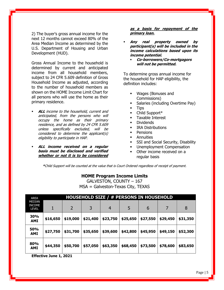2) The buyer's gross annual income for the next 12 months cannot exceed 80% of the Area Median Income as determined by the U.S. Department of Housing and Urban Development (HUD).

Gross Annual Income to the household is determined by current and anticipated income from all household members, subject to 24 CFR 5.609 definition of Gross Household Income as adjusted, according to the number of household members as shown on the HOME Income Limit Chart for all persons who will use the home as their primary residence.

- **ALL** income to the household, current and anticipated, from the persons who will occupy the home as their primary residence, and as defined by 24 CFR 5.609 unless specifically excluded, will be considered to determine the applicant(s) eligibility to participate in HAP.
- ALL income received on a regular **basis must be disclosed and verified whether or not it is to be considered**

**as a basis for repayment of the primary loan.**

- Any real property owned by **participant(s) will be included in the income calculations based upon its income potential.**
	- **Co-borrowers/Co-mortgagors will not be permitted.**

To determine gross annual income for the household for HAP eligibility, the definition includes:

- Wages (Bonuses and Commissions)
- Salaries (including Overtime Pay)
- **Tips**
- Child Support\*
- Taxable Interest
- Dividends
- **IRA Distributions**
- **Pensions**
- Annuities
- SSI and Social Security, Disability
- Unemployment Compensation
- Other income received on a regular basis

**\***Child Support will be counted at the value that is Court Ordered regardless of receipt of payment.

#### **HOME Program Income Limits**

GALVESTON, COUNTY – 167 MSA = Galveston-Texas City, TEXAS

| <b>AREA</b>                                    | HOUSEHOLD SIZE / # PERSONS IN HOUSEHOLD |          |          |          |          |          |          |          |  |
|------------------------------------------------|-----------------------------------------|----------|----------|----------|----------|----------|----------|----------|--|
| <b>MEDIAN</b><br><b>INCOME</b><br><b>LEVEL</b> |                                         | 2        | 3        | 4        | 5        | 6        |          | 8        |  |
| 30%<br>AMI                                     | \$16,650                                | \$19,000 | \$21,400 | \$23,750 | \$25,650 | \$27,550 | \$29,450 | \$31,350 |  |
| <b>50%</b><br>AMI                              | \$27,750                                | \$31,700 | \$35,650 | \$39,600 | \$42,800 | \$45,950 | \$49,150 | \$52,300 |  |
| 80%<br>AMI                                     | \$44,350                                | \$50,700 | \$57,050 | \$63,350 | \$68,450 | \$73,500 | \$78,600 | \$83,650 |  |

**Effective June 1, 2021**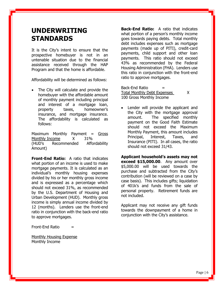### **UNDERWRITING STANDARDS**

It is the City's intent to ensure that the prospective homebuyer is not in an untenable situation due to the financial assistance received through the HAP Program and that the home is affordable.

Affordability will be determined as follows:

The City will calculate and provide the homebuyer with the affordable amount of monthly payment including principal and interest of a mortgage loan, property taxes, homeowner's insurance, and mortgage insurance. The affordability is calculated as follows:

Maximum Monthly Payment  $=$  Gross Monthly Income X 31% (HUD's Recommended Affordability Amount)

**Front-End Ratio:** A ratio that indicates what portion of an income is used to make mortgage payments. It is calculated as an individual's monthly housing expenses divided by his or her monthly gross income and is expressed as a percentage which should not exceed 31%, as recommended by the U.S. Department of Housing and Urban Development (HUD). Monthly gross income is simply annual income divided by 12 (months). Lenders use the front-end ratio in conjunction with the back-end ratio to approve mortgages.

 $Front$ -End Ratio  $=$ 

Monthly Housing Expense Monthly Income

**Back-End Ratio:** A ratio that indicates what portion of a person's monthly income goes towards paying debts. Total monthly debt includes expenses such as mortgage payments (made up of PITI), credit-card payments, child support and other loan payments. This ratio should not exceed 43% as recommended by the Federal Housing Administration (FHA). Lenders use this ratio in conjunction with the front-end ratio to approve mortgages.

 $Back-End Ratio =$ Total Monthly Debt Expenses X 100 Gross Monthly Income

Lender will provide the applicant and the City with the mortgage approval amount. The specified monthly payment on the Good Faith Estimate should not exceed the Maximum Monthly Payment, this amount includes Principal, Interest, Taxes, and Insurance (PITI). In all cases, the ratio should not exceed 31/43.

**Applicant household's assets may not exceed \$15,000.00**. Any amount over \$5,000.00 will be used towards the purchase and subtracted from the City's contribution (will be reviewed on a case by case basis). This includes gifts; liquidation of 401k's and funds from the sale of personal property. Retirement funds are not included.

Applicant may not receive any gift funds towards the downpayment of a home in conjunction with the City's assistance.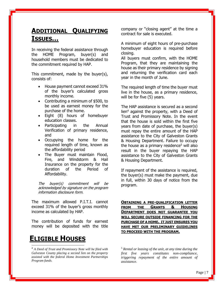### **ADDITIONAL QUALIFYING ISSUES…**

In receiving the federal assistance through the HOME Program, buyer(s) and household members must be dedicated to the commitment required by HAP.

This commitment, made by the buyer(s), consists of:

- House payment cannot exceed 31% of the buyer's calculated gross monthly income.
- Contributing a minimum of \$500, to be used as earnest money for the purchase of the home.
- Eight (8) hours of homebuyer education classes.
- Participating in the Annual Verification of primary residence, and
- Occupying the home for the required length of time, known as the affordability period
- The Buyer must maintain Flood, Fire, and Windstorm & Hail Insurance on the property for the duration of the Period of Affordability.

The buyer(s) commitment will be acknowledged by signature on the program information disclosure form.

The maximum allowed P.I.T.I. cannot exceed 31% of the buyer's gross monthly income as calculated by HAP.

The contribution of funds for earnest money will be deposited with the title

### **ELIGIBLE HOUSES**

l

company or "closing agent" at the time a contract for sale is executed.

A minimum of eight hours of pre-purchase homebuyer education is required before closing.

All buyers must confirm, with the HOME Program, that they are maintaining the house as their primary residence by signing and returning the verification card each year in the month of June.

The required length of time the buyer must live in the house, as a primary residence, will be for five (5) years.

The HAP assistance is secured as a second lien<sup>4</sup> against the property, with a Deed of Trust and Promissory Note. In the event that the house is sold within the first five years from date of purchase, the buyer(s) must repay the entire amount of the HAP assistance to the City of Galveston Grants & Housing Department. Failure to occupy the house as a primary residence<sup>5</sup> will also result in the buyer repaying the HAP assistance to the City of Galveston Grants & Housing Department.

If repayment of the assistance is required, the buyer(s) must make the payment, due in full, within 30 days of notice from the program.

**OBTAINING A PRE-QUALIFICATION LETTER FROM THE GRANTS & HOUSING DEPARTMENT DOES NOT GUARANTEE YOU WILL SECURE OUTSIDE FINANCING FOR THE PURCHASE OF A HOME. IT JUST ENSURES YOU HAVE MET OUR PRELIMINARY GUIDELINES TO PROCEED WITH THE PROGRAM.**

<sup>5</sup> *Rental or leasing of the unit, at any time during the first five years constitutes non-compliance, triggering repayment of the entire amount of assistance.*

<sup>4</sup> *A Deed of Trust and Promissory Note will be filed with Galveston County placing a second lien on the property assisted with the federal Home Investment Partnerships Program funds.*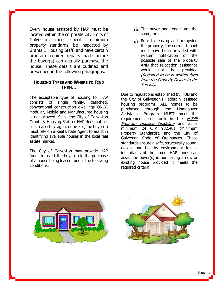Every house assisted by HAP must be located within the corporate city limits of Galveston, meet specific minimum property standards, be inspected by Grants & Housing Staff, and have certain program required repairs made before the buyer(s) can actually purchase the house. These details are outlined and prescribed in the following paragraphs.

#### **HOUSING TYPES AND WHERE TO FIND THEM…**

The acceptable type of housing for HAP consists of single family, detached, conventional construction dwellings ONLY. Modular, Mobile and Manufactured housing is not allowed. Since the City of Galveston Grants & Housing Staff or HAP does not act as a real estate agent or broker, the buyer(s) must rely on a Real Estate Agent to assist in identifying available houses in the local real estate market.

The City of Galveston may provide HAP funds to assist the buyer(s) in the purchase of a house being leased, under the following conditions:

- The buyer and tenant are the same, or
- **Prior to leasing and occupying** the property, the current tenant must have been provided with written notification of the possible sale of the property AND that relocation assistance would not be provided (Required to be in written form from the Property Owner to the Tenant).

Due to regulations established by HUD and the City of Galveston's Federally assisted housing programs, ALL homes to be purchased through the Homebuyer Assistance Program, MUST meet the requirements set forth in the HOME Program Housing Guideline and at a minimum 24 CFR 982.401 (Minimum Property Standards), and the City of Galveston Code of Ordinances. These standards ensure a safe, structurally sound, decent and healthy environment for all inhabitants of the home. HAP funds can assist the buyer(s) in purchasing a new or existing house provided it meets the required criteria.



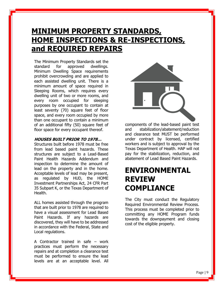## **MINIMUM PROPERTY STANDARDS, HOME INSPECTIONS & RE-INSPECTIONS, and REQUIRED REPAIRS**

The Minimum Property Standards set the standard for approved dwellings. Minimum Dwelling Space requirements prohibit overcrowding and are applied to each assisted dwelling unit. There is a minimum amount of space required in Sleeping Rooms, which requires every dwelling unit of two or more rooms, and every room occupied for sleeping purposes by one occupant to contain at least seventy (70) square feet of floor space, and every room occupied by more than one occupant to contain a minimum of an additional fifty (50) square feet of floor space for every occupant thereof.

#### **HOUSES BUILT PRIOR TO 1978…**

Structures built before 1978 must be free from lead based paint hazards. These structures are subject to a Lead-Based Paint Health Hazards Addendum and inspection to determine the amount of lead on the property and in the home. Acceptable levels of lead may be present, as regulated by HUD, the HOME Investment Partnerships Act, 24 CFR Part 35 Subpart K, or the Texas Department of Health.

ALL homes assisted through the program that are built prior to 1978 are required to have a visual assessment for Lead Based Paint Hazards. If any hazards are discovered, they will have to be addressed in accordance with the Federal, State and Local regulations.

A Contractor trained in safe – work practices must perform the necessary repairs and at completion a clearance test must be performed to ensure the lead levels are at an acceptable level. All



components of the lead-based paint test and stabilization/abatement/reduction and clearance test MUST be performed under contract by licensed, certified workers and is subject to approval by the Texas Department of Health. HAP will not pay for the stabilization, reduction, and abatement of Lead Based Paint Hazards.

### **ENVIRONMENTAL REVIEW COMPLIANCE**

The City must conduct the Regulatory Required Environmental Review Process. This process must be completed prior to committing any HOME Program funds towards the downpayment and closing cost of the eligible property.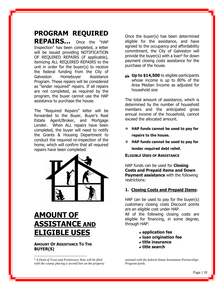# **PROGRAM REQUIRED**

**REPAIRS…** Once the "HAP Inspection" has been completed, a letter will be issued providing NOTIFICATION OF REQUIRED REPAIRS (if applicable), itemizing ALL REQUIRED REPAIRS to the unit in order for the buyer(s) to receive the federal funding from the City of Galveston Homebuyer Assistance Program. These repairs will be considered as "lender required" repairs. If all repairs are not completed, as required by the program, the buyer cannot use the HAP assistance to purchase the house.

The "Required Repairs" letter will be forwarded to the Buyer, Buyer's Real Estate Agent/Broker, and Mortgage Lender. When ALL repairs have been completed, the buyer will need to notify the Grants & Housing Department to conduct the required re-inspection of the home, which will confirm that all required repairs have been completed.



# **AMOUNT OF ASSISTANCE AND ELIGIBLE USES**

#### **AMOUNT OF ASSISTANCE TO THE BUYER(S)**

l

*<sup>6</sup> A Deed of Trust and Promissory Note will be filed with the county placing a second lien on the property*  Once the buyer(s) has been determined eligible for the assistance, and have agreed to the occupancy and affordability commitment, the City of Galveston will provide the buyer(s) with a loan<sup>6</sup> for down payment closing costs assistance for the purchase of the house.

**Up to \$14,500** to eligible participants whose income is up to 80% of the Area Median Income as adjusted for household size

The total amount of assistance, which is determined by the number of household members and the anticipated gross annual income of the household, cannot exceed the allocated amount.

- ❖ **HAP funds cannot be used to pay for repairs to the house.**
- ❖ **HAP funds cannot be used to pay for lender required debt relief.**

**ELIGIBLE USES OF ASSISTANCE** 

HAP funds can be used for **Closing Costs and Prepaid items and Down Payment assistance** with the following restrictions:

#### **1. Closing Costs and Prepaid Items**:

HAP can be used to pay for the buyer(s) customary closing costs Discount points are an eligible cost under HAP.

All of the following closing costs are eligible for financing, in some degree, through HAP:

- **application fee**
- **loan origination fee**
- **title insurance**
- **title search**

*assisted with the federal Home Investment Partnerships Program funds.*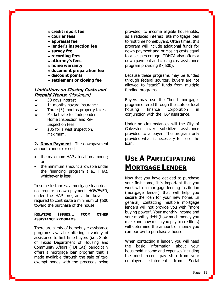- **credit report fee**
- **courier fees**
- **appraisal fee**
- **lender's inspection fee**
- **survey fee**
- **recording fees**
- **attorney's fees**
- **home warranty**
- **document preparation fee**
- **discount points**
- **settlement or closing fee**

#### **Limitations on Closing Costs and Prepaid Items:** (Maximum)

- $\sqrt{ }$  30 days interest
- ◆ 14 months hazard insurance
- Three (3) months property taxes
- Market rate for Independent Home Inspection and Re-Inspection fees.
- \$85 for a Pest Inspection, Maximum.

**2. Down Payment**: The downpayment amount cannot exceed

- the maximum HAP allocation amount; or
- the minimum amount allowable under the financing program (i.e., FHA), whichever is less.

In some instances, a mortgage loan does not require a down payment, HOWEVER, under the HAP program, the buyer is required to contribute a minimum of \$500 toward the purchase of the house.

#### **RELATIVE ISSUES… FROM OTHER ASSISTANCE PROGRAMS**

There are plenty of homebuyer assistance programs available offering a variety of assistance to first time buyers (i.e., State of Texas Department of Housing and Community Affairs (TDHCA)) periodically offers a mortgage loan program that is made available through the sale of taxexempt bonds with the proceeds being

provided, to income eligible households, as a reduced interest rate mortgage loan to first time homebuyers. Often times, this program will include additional funds for down payment and or closing costs equal to a set percentage. TDHCA also offers a down payment and closing cost assistance program providing \$7,500).

Because these programs may be funded through federal sources, buyers are not allowed to "stack" funds from multiple funding programs.

Buyers may use the "bond mortgage" program offered through the state or local housing finance corporation in conjunction with the HAP assistance.

Under no circumstances will the City of Galveston over subsidize assistance provided to a buyer. The program only provides what is necessary to close the loan.

### **USE A PARTICIPATING MORTGAGE LENDER**

Now that you have decided to purchase your first home, it is important that you work with a mortgage lending institution (mortgage lender) that will help you secure the loan for your new home. In general, contacting multiple mortgage lenders will not provide you with "more buying power". Your monthly income and your monthly debt (how much money you make and how much you pay to creditors) will determine the amount of money you can borrow to purchase a house.

When contacting a lender, you will need the basic information about your household income and expenses including the most recent pay stub from your employer, statement from Social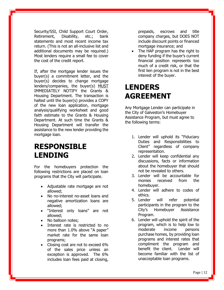Security/SSI, Child Support Court Order, Retirement, Disability, etc.; bank statements and most recent income tax return. (This is not an all-inclusive list and additional documents may be required.) Most lenders require a small fee to cover the cost of the credit report.

If, after the mortgage lender issues the buyer(s) a commitment letter, and the buyer(s) decides to change mortgage lenders/companies, the buyer(s) MUST IMMEDIATELY NOTIFY the Grants & Housing Department. The transaction is halted until the buyer(s) provides a COPY of the new loan application, mortgage analysis/qualifying worksheet and good faith estimate to the Grants & Housing Department. At such time the Grants & Housing Department will transfer the assistance to the new lender providing the mortgage loan.

## **RESPONSIBLE LENDING**

For the homebuyers protection the following restrictions are placed on loan programs that the City will participate.

- Adjustable rate mortgage are not allowed;
- No no-interest no-asset loans and negative amortization loans are allowed;
- "Interest only loans" are not allowed;
- No balloon notes:
- Interest rate is restricted to no more than 1.0% above "A paper" market rate for the same loan programs;
- Closing cost are not to exceed 6% of the sales price unless an exception is approved. The 6% includes loan fees paid at closing,

prepaids, escrows and title company charges, but DOES NOT include discount points or financed mortgage insurance; and

• The HAP program has the right to deny funding if the buyer's current financial position represents too much of a credit risk, or that the first lien program is not in the best interest of the buyer.

# **LENDERS AGREEMENT**

Any Mortgage Lender can participate in the City of Galveston's Homebuyer Assistance Program, but must agree to the following terms:

- 1. Lender will uphold its "Fiduciary Duties and Responsibilities to Client" regardless of company representation.
- 2. Lender will keep confidential any discussions, facts or information about the homebuyer that should not be revealed to others.
- 3. Lender will be accountable for monies received from the homebuyer.
- 4. Lender will adhere to codes of ethics.
- 5. Lender will refer potential participants in the program to the City's Homebuyer Assistance Program.
- 6. Lender will uphold the spirit of the program, which is to help low to moderate income persons purchase homes, by providing loan programs and interest rates that compliment the program and benefit the client. Lender will become familiar with the list of unacceptable loan programs.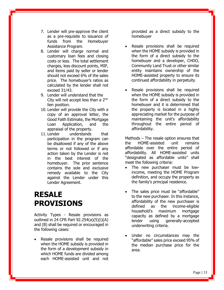- 7. Lender will pre-approve the client as a pre-requisite to issuance of funds from the Homebuyer Assistance Program.
- 8. Lender will charge normal and customary loan fees and closing costs or less. The total settlement charges, less discount points, MIP, and items paid by seller or lender should not exceed 6% of the sales price. The homebuyer's ratios as calculated by the lender shall not exceed 31/43.
- 9. Lender will understand that the City will not accept less than a  $2<sup>nd</sup>$ lien position.
- 10. Lender will provide the City with a copy of an approval letter, the Good Faith Estimate, the Mortgage Loan Application, and the appraisal of the property.
- 11. Lender understands that participation in the program can be disallowed if any of the above terms or not followed or if any action taken by the Lender is not in the best interest of the homebuyer. The prior sentence contains the sole and exclusive remedy available to the City against the Lender under this Lender Agreement.

## **RESALE PROVISIONS**

Activity Types - Resale provisions as outlined in 24 CFR Part 92.254(a)(5)(i)(A) and (B) shall be required or encouraged in the following cases:

Resale provisions shall be required when the HOME subsidy is provided in the form of a development subsidy in which HOME funds are divided among each HOME-assisted unit and not

provided as a direct subsidy to the homebuyer

- Resale provisions shall be required when the HOME subsidy is provided in the form of a direct subsidy to the homebuyer and a developer, CHDO, Community Land Trust or other similar entity maintains ownership of the HOME-assisted property to ensure its continued affordability in perpetuity.
- Resale provisions shall be required when the HOME subsidy is provided in the form of a direct subsidy to the homebuyer and it is determined that the property is located in a highly appreciating market for the purpose of maintaining the unit's affordability throughout the entire period of affordability.

Methods – The resale option ensures that the HOME-assisted unit remains affordable over the entire period of affordability. All HOME-assisted units "designated as affordable units" shall meet the following criteria:

- The new purchaser must be lowincome, meeting the HOME Program definition, and occupy the property as the family's principal residence.
- The sales price must be "affordable" to the new purchaser. In this instance, affordability of the new purchaser is defined as the income-eligible household's maximum mortgage capacity as defined by a mortgage lender using generally-accepted underwriting criteria.
- Under no circumstances may the "affordable" sales price exceed 95% of the median purchase price for the area.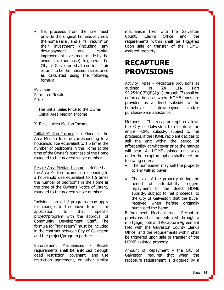Net proceeds from the sale must provide the original homebuyer, now the home seller, and a "fair return" on their investment (including any downpayment and capital improvement investment made by the owner since purchase). In general, the City of Galveston shall consider "fair return" to be the maximum sales price as calculated using the following formula:

Maximum Permitted Resale Price

- = The Initial Sales Price to the Owner Initial Area Median Income
- X Resale Area Median Income

Initial Median Income is defined as the Area Median Income corresponding to a household size equivalent to 1.5 times the number of bedrooms in the Home at the time of the Owner's purchase of the Home rounded to the nearest whole number.

Resale Area Median Income is defined as the Area Median Income corresponding to a household size equivalent to 1.5 times the number of bedrooms in the Home at the time of the Owner's Notice of Intent, rounded to the nearest whole number.

Individual projects/ programs may apply for changes in the above formula for application to that specific project/program with the approval of Community Development Staff. The formula for "fair return" must be included in the contract between City of Galveston and the project/program partner.

Enforcement Mechanisms - Resale requirements shall be enforced through deed restriction, covenant, land use restriction agreement, or other similar

mechanism filed with the Galveston County Clerk's Office and the requirements within shall be triggered upon sale or transfer of the HOMEassisted property.

## **RECAPTURE PROVISIONS**

Activity Types - Recapture provisions as outlined in 24 CFR Part 92.254(a)(5)(ii)(A)(1) through (7) shall be enforced in cases where HOME funds are provided as a direct subsidy to the homebuyer as downpayment and/or purchase-price assistance.

Methods – The recapture option allows the City of Galveston to recapture the entire HOME subsidy, subject to net proceeds, if the HOME recipient decides to sell the unit within the period of affordability at whatever price the market will bear. All HOME-assisted unit sales under the recapture option shall meet the following criteria:

- The homebuyer may sell the property to any willing buyer.
- The sale of the property during the period of affordability triggers repayment of the direct HOME subsidy, subject to net proceeds, to the City of Galveston that the buyer received when he/she originally purchased the home.

Enforcement Mechanisms - Recapture provisions shall be enforced through a mortgage, note and Recapture Agreement filed with the Galveston County Clerk's Office, and the requirements within shall be triggered upon sale or transfer of the HOME-assisted property.

Amount of Repayment – the City of Galveston requires that when the recapture requirement is triggered by a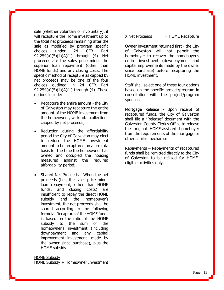sale (whether voluntary or involuntary), it will recapture the Home investment up to the total net proceeds remaining after the sale as modified by program specific choices under 24 CFR Part 92.254(a)(5)(ii)(A)(1) through (4). Net proceeds are the sales price minus the superior loan repayment (other than HOME funds) and any closing costs. The specific method of recapture as capped by net proceeds may be one of the four choices outlined in 24 CFR Part 92.254(a)(5)(ii)(A)(1) through (4). These options include:

- Recapture the entire amount the City of Galveston may recapture the entire amount of the HOME investment from the homeowner, with total collections capped by net proceeds;
- Reduction during the affordability period the City of Galveston may elect to reduce the HOME investment amount to be recaptured on a pro rata basis for the time the homeowner has owned and occupied the housing measured against the required affordability period;
- Shared Net Proceeds When the net proceeds (i.e., the sales price minus loan repayment, other than HOME funds, and closing costs) are insufficient to repay the direct HOME subsidy and the homebuyer's investment, the net proceeds shall be shared according to the following formula. Recapture of the HOME funds is based on the ratio of the HOME subsidy to the sum of the homeowner's investment (including downpayment and any capital improvement investment. made by the owner since purchase), plus the HOME subsidy:

#### HOME Subsidy

HOME Subsidy + Homeowner Investment

 $X$  Net Proceeds  $=$  HOME Recapture

Owner investment returned first - the City of Galveston will not permit the homebuyer to recover the homebuyer's entire investment (downpayment and capital improvements made by the owner since purchase) before recapturing the HOME investment.

Staff shall select one of these four options based on the specific project/program in consultation with the project/program sponsor.

Mortgage Release - Upon receipt of recaptured funds, the City of Galveston shall file a "Release" document with the Galveston County Clerk's Office to release the original HOME-assisted homebuyer from the requirements of the mortgage or other similar mechanism.

Repayments – Repayments of recaptured funds shall be remitted directly to the City of Galveston to be utilized for HOMEeligible activities only.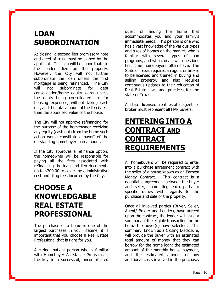## **LOAN SUBORDINATION**

At closing, a second lien promissory note and deed of trust must be signed by the applicant. This lien will be subordinate to the lenders lien on the property. However, the City will not further subordinate the loan unless the first mortgage is being refinanced. The City will not subordinate for debt consolidation/home equity loans, unless the debts being consolidated are for housing expenses, without taking cash out, and the total amount of the lien is less than the appraised value of the house.

The City will not approve refinancing for the purpose of the homeowner receiving any equity (cash out) from the home such action would constitute a payoff of the outstanding homebuyer loan amount.

If the City approves a refinance option, the homeowner will be responsible for paying all the fees associated with refinancing the loan and lien documents up to \$200.00 to cover the administrative cost and filing fees incurred by the City.

## **CHOOSE A KNOWLEDGABLE REAL ESTATE PROFESSIONAL**

The purchase of a home is one of the largest purchases in your lifetime, it is important that you choose a Real Estate Professional that is right for you.

A caring, patient person who is familiar with Homebuyer Assistance Programs is the key to a successful, uncomplicated quest of finding the home that accommodates you and your family's immediate needs. This person is one who has a vast knowledge of the various types and sizes of homes on the market; who is familiar with several types of loan programs, and who can answer questions first time homebuyers often have. The State of Texas requires an agent or broker to be licensed and trained in buying and selling property, and also requires continuous updates to their education of Real Estate laws and practices for the state of Texas.

A state licensed real estate agent or broker must represent all HAP buyers.

## **ENTERING INTO A CONTRACT AND CONTRACT REQUIREMENTS**

All homebuyers will be required to enter into a purchase agreement contract with the seller of a house known as an Earnest Money Contract. This contract is a negotiable agreement between the buyer and seller, committing each party to specific duties with regards to the purchase and sale of the property.

Once all involved parties (Buyer, Seller, Agent/ Broker and Lender), have agreed upon the contract, the lender will issue a summary of the eligible transaction for the home the buyer(s) have selected. This summary, known as a Closing Disclosure, will provide the buyer with an estimated total amount of money that they can borrow for the home loan; the estimated amount of the monthly house payment, and the estimated amount of any additional costs involved in the purchase.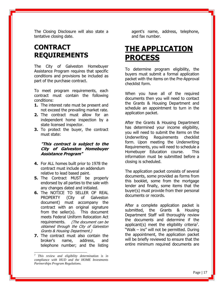The Closing Disclosure will also state a tentative closing date.

### **CONTRACT REQUIREMENTS**

The City of Galveston Homebuyer Assistance Program requires that specific conditions and provisions be included as part of the purchase contract.

To meet program requirements, each contract must contain the following conditions:

- **1.** The interest rate must be present and not exceed the prevailing market rate.
- **2.** The contract must allow for an independent home inspection by a state licensed inspector.
- **3.** To protect the buyer, the contract must state:

#### **"This contract is subject to the City of Galveston Homebuyer Assistance Program"**

- **4.** For ALL homes built prior to 1978 the contract must include an addendum relative to lead based paint.
- **5.** The Contract MUST be properly endorsed by all parties to the sale with any changes dated and initialed.
- **6.** The NOTICE TO SELLER OF REAL PROPERTY (City of Galveston document) must accompany the contract with an original signature from the seller(s). This document meets Federal Uniform Relocation Act requirements. (The document can be obtained through the City of Galveston Grants & Housing Department.)
- **7.** The contract must also contain the broker's name, address, and telephone number; and the listing

l

agent's name, address, telephone, and fax number.

## **THE APPLICATION PROCESS**

To determine program eligibility, the buyers must submit a formal application packet with the items on the Pre-Approval checklist form.

When you have all of the required documents then you will need to contact the Grants & Housing Department and schedule an appointment to turn in the application packet.

After the Grants & Housing Department has determined your income eligibility, you will need to submit the items on the Underwriting Requirements checklist form. Upon meeting the Underwriting Requirements, you will need to schedule a Homebuyer Education course. This information must be submitted before a closing is scheduled.

The application packet consists of several documents, some provided as forms from this booklet, some from the mortgage lender and finally, some items that the buyer(s) must provide from their personal documents or records.

After a complete application packet is submitted, the Grants & Housing Department Staff will thoroughly review the documents and determine if the applicant(s) meet the eligibility criteria<sup>7</sup>. "Walk – ins" will not be permitted. During the appointment, the application packet will be briefly reviewed to ensure that the entire minimum required documents are

*<sup>7</sup> This review and eligibility determination is in compliance with HUD and the HOME Investments Partnerships Program Regulations.*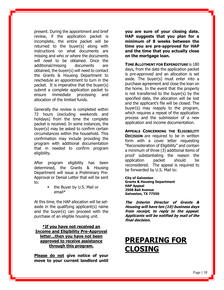present. During the appointment and brief review, if the application packet is incomplete, the entire packet will be returned to the buyer(s) along with instructions on what documents are missing and who or where the documents will need to be obtained. Once the additional/missing documents are obtained, the buyer(s) will need to contact the Grants & Housing Department to reschedule an appointment to turn in the packet. It is imperative that the buyer(s) submit a complete application packet to ensure immediate processing and allocation of the limited funds.

Generally the review is completed within 72 hours (excluding weekends and holidays) from the time the complete packet is received. In some instances, the buyer(s) may be asked to confirm certain circumstances within the household. This confirmation may include providing the program with additional documentation that in needed to confirm program eligibility.

After program eligibility has been determined, the Grants & Housing Department will issue a Preliminary Pre-Approval or Denial Letter that will be sent to:

> the Buyer by U.S. Mail or email\*

At this time, the HAP allocation will be setaside in the qualifying applicant(s) name and the buyer(s) can proceed with the purchase of an eligible housing unit.

#### **\*If you have not received an Income and Eligibility Pre-Approval letter...then you have not been approved to receive assistance through this program.**

**Please do not give notice of your move to your current landlord until**  **you are sure of your closing date. HAP suggests that you plan for a minimum of 8 weeks between the time you are pre-approved for HAP and the time that you actually close on the mortgage loan.**

**TIME ALLOTMENT FOR EXPENDITURE** is 180 days, from the date the application packet is pre-approved and an allocation is set aside. The buyer(s) must enter into a purchase agreement and close the loan on the home. In the event that the property is not transferred to the buyer(s) by the specified date, the allocation will be lost and the applicant's file will be closed. The buyer(s) may reapply to the program, which requires a repeat of the application process and the submission of a new application and income documentation.

**APPEALS CONCERNING THE ELIGIBILITY DECISION** are required to be in written form with a cover letter requesting "Reconsideration of Eligibility" and contain a minimum of three (3) additional items of proof substantiating the reason the application packet should be reconsidered. The appeal is required to be forwarded by U.S. Mail to:

**City of Galveston Grants & Housing Department HAP Appeal 2508 Ball Avenue Galveston, TX 77550**

**The Interim Director of Grants & Housing will have ten (10) business days from receipt, to reply to the appeal. Applicants will be notified by mail of the final decision.**

## **PREPARING FOR CLOSING**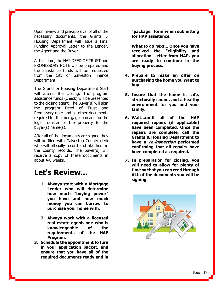Upon review and pre-approval of all of the necessary documents, the Grants & Housing Department will issue a Final Funding Approval Letter to the Lender, the Agent and the Buyer.

At this time, the HAP DEED OF TRUST and PROMISSORY NOTE will be prepared and the assistance funds will be requested from the City of Galveston Finance Department.

The Grants & Housing Department Staff will attend the closing. The program assistance funds (check) will be presented to the closing agent. The Buyer(s) will sign the program Deed of Trust and Promissory note and all other documents required for the mortgage loan and for the legal transfer of the property to the buyer(s) name(s).

After all of the documents are signed they will be filed with Galveston County clerk who will officially record and file them in the county records. The buyer(s) will receive a copy of these documents in about 4-8 weeks.

### **Let's Review...**

- **1. Always start with a Mortgage Lender who will determine how much "buying power" you have and how much money you can borrow to purchase your home with.**
- **2. Always work with a licensed real estate agent, one who is knowledgeable of the requirements of the HAP Program.**
- **3. Schedule the appointment to turn in your application packet, and ensure that you have all of the required documents ready and in**

**"package" form when submitting for HAP assistance.**

**What to do next... Once you have received the "eligibility and allocation" letter from HAP, you are ready to continue in the buying process.**

- **4. Prepare to make an offer on purchasing the home you want to buy.**
- **5. Insure that the home is safe, structurally sound, and a healthy environment for you and your family.**
- **6. Wait…until all of the HAP required repairs (if applicable) have been completed. Once the repairs are complete, call the Grants & Housing Department to have a re-inspection performed confirming that all repairs have been completed as required.**
- **7. In preparation for closing, you will need to allow for plenty of time so that you can read through ALL of the documents you will be signing.**

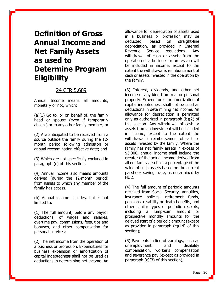## **Definition of Gross Annual Income and Net Family Assets as used to Determine Program Eligibility**

#### 24 CFR 5.609

Annual Income means all amounts, monetary or not, which:

 $(a)(1)$  Go to, or on behalf of, the family head or spouse (even if temporarily absent) or to any other family member; or

(2) Are anticipated to be received from a source outside the family during the 12 month period following admission or annual reexamination effective date; and

(3) Which are not specifically excluded in paragraph (c) of this section.

(4) Annual income also means amounts derived (during the 12-month period) from assets to which any member of the family has access.

(b) Annual income includes, but is not limited to:

(1) The full amount, before any payroll deductions, of wages and salaries, overtime pay, commissions, fees, tips and bonuses, and other compensation for personal services;

(2) The net income from the operation of a business or profession. Expenditures for business expansion or amortization of capital indebtedness shall not be used as deductions in determining net income. An

allowance for depreciation of assets used in a business or profession may be deducted, based on straight-line depreciation, as provided in Internal Revenue Service regulations. Any withdrawal of cash or assets from the operation of a business or profession will be included in income, except to the extent the withdrawal is reimbursement of cash or assets invested in the operation by the family.

(3) Interest, dividends, and other net income of any kind from real or personal property. Expenditures for amortization of capital indebtedness shall not be used as deductions in determining net income. An allowance for depreciation is permitted only as authorized in paragraph (b)(2) of this section. Any withdrawal of cash or assets from an investment will be included in income, except to the extent the withdrawal is reimbursement of cash or assets invested by the family. Where the family has net family assets in excess of \$5,000, annual income shall include the greater of the actual income derived from all net family assets or a percentage of the value of such assets based on the current passbook savings rate, as determined by HUD.

(4) The full amount of periodic amounts received from Social Security, annuities, insurance policies, retirement funds, pensions, disability or death benefits, and other similar types of periodic receipts, including a lump-sum amount or prospective monthly amounts for the delayed start of a periodic amount (except as provided in paragraph (c)(14) of this section);

(5) Payments in lieu of earnings, such as unemployment and disability compensation, worker's compensation and severance pay (except as provided in paragraph (c)(3) of this section);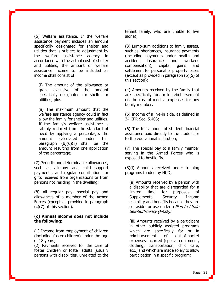(6) Welfare assistance. If the welfare assistance payment includes an amount specifically designated for shelter and utilities that is subject to adjustment by the welfare assistance agency in accordance with the actual cost of shelter and utilities, the amount of welfare assistance income to be included as income shall consist of:

(i) The amount of the allowance or grant exclusive of the amount specifically designated for shelter or utilities; plus

(ii) The maximum amount that the welfare assistance agency could in fact allow the family for shelter and utilities. If the family's welfare assistance is ratably reduced from the standard of need by applying a percentage, the amount calculated under this paragraph  $(b)(6)(ii)$  shall be the amount resulting from one application of the percentage;

(7) Periodic and determinable allowances, such as alimony and child support payments, and regular contributions or gifts received from organizations or from persons not residing in the dwelling;

(8) All regular pay, special pay and allowances of a member of the Armed Forces (except as provided in paragraph  $(c)(7)$  of this section).

#### **(c) Annual income does not include the following:**

(1) Income from employment of children (including foster children) under the age of 18 years;

(2) Payments received for the care of foster children or foster adults (usually persons with disabilities, unrelated to the tenant family, who are unable to live alone);

(3) Lump-sum additions to family assets, such as inheritances, insurance payments (including payments under health and accident insurance and worker's compensation), capital gains and settlement for personal or property losses (except as provided in paragraph (b)(5) of this section);

(4) Amounts received by the family that are specifically for, or in reimbursement of, the cost of medical expenses for any family member;

(5) Income of a live-in aide, as defined in 24 CFR Sec. 5.403;

(6) The full amount of student financial assistance paid directly to the student or to the educational institution;

(7) The special pay to a family member serving in the Armed Forces who is exposed to hostile fire;

(8)(i) Amounts received under training programs funded by HUD;

(ii) Amounts received by a person with a disability that are disregarded for a limited time for purposes of Supplemental Security Income eligibility and benefits because they are set aside for use under a Plan to Attain Self-Sufficiency (PASS);

(iii) Amounts received by a participant in other publicly assisted programs which are specifically for or in reimbursement of out-of-pocket expenses incurred (special equipment, clothing, transportation, child care, etc.) and which are made solely to allow participation in a specific program;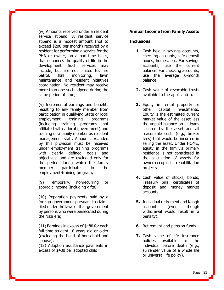(iv) Amounts received under a resident service stipend. A resident service stipend is a modest amount (not to exceed \$200 per month) received by a resident for performing a service for the PHA or owner, on a part-time basis, that enhances the quality of life in the development. Such services may include, but are not limited to, fire patrol, hall monitoring, lawn maintenance, and resident initiatives coordination. No resident may receive more than one such stipend during the same period of time;

(v) Incremental earnings and benefits resulting to any family member from participation in qualifying State or local employment training programs (including training programs not affiliated with a local government) and training of a family member as resident management staff. Amounts excluded by this provision must be received under employment training programs with clearly defined goals and objectives, and are excluded only for the period during which the family member participates in the employment-training program;

(9) Temporary, nonrecurring or sporadic income (including gifts);

(10) Reparation payments paid by a foreign government pursuant to claims filed under the laws of that government by persons who were persecuted during the Nazi era;

(11) Earnings in excess of \$480 for each full-time student 18 years old or older (excluding the head of household and spouse);

(12) Adoption assistance payments in excess of \$480 per adopted child

#### **Annual Income from Family Assets**

#### **Inclusions:**

- **1.** Cash held in savings accounts, checking accounts, safe deposit boxes, homes, etc. For savings accounts, use the current balance. For checking accounts, use the average 6-month balance.
- **2.** Cash value of revocable trusts available to the applicant(s).
- **3.** Equity in rental property or other capital investments. Equity is the estimated current market value of the asset less the unpaid balance on all loans secured by the asset and all reasonable costs (e.g., broker fees) that would be incurred in selling the asset. Under HOME, equity in the family's primary residence is not considered in the calculation of assets for owner-occupied rehabilitation projects.
- **4.** Cash value of stocks, bonds, Treasury bills, certificates of deposit and money market accounts.
- **5.** Individual retirement and Keogh accounts (even though withdrawal would result in a penalty).
- **6.** Retirement and pension funds.
- **7.** Cash value of life insurance policies available to the individual before death (e.g., surrender value of a whole life or universal life policy).